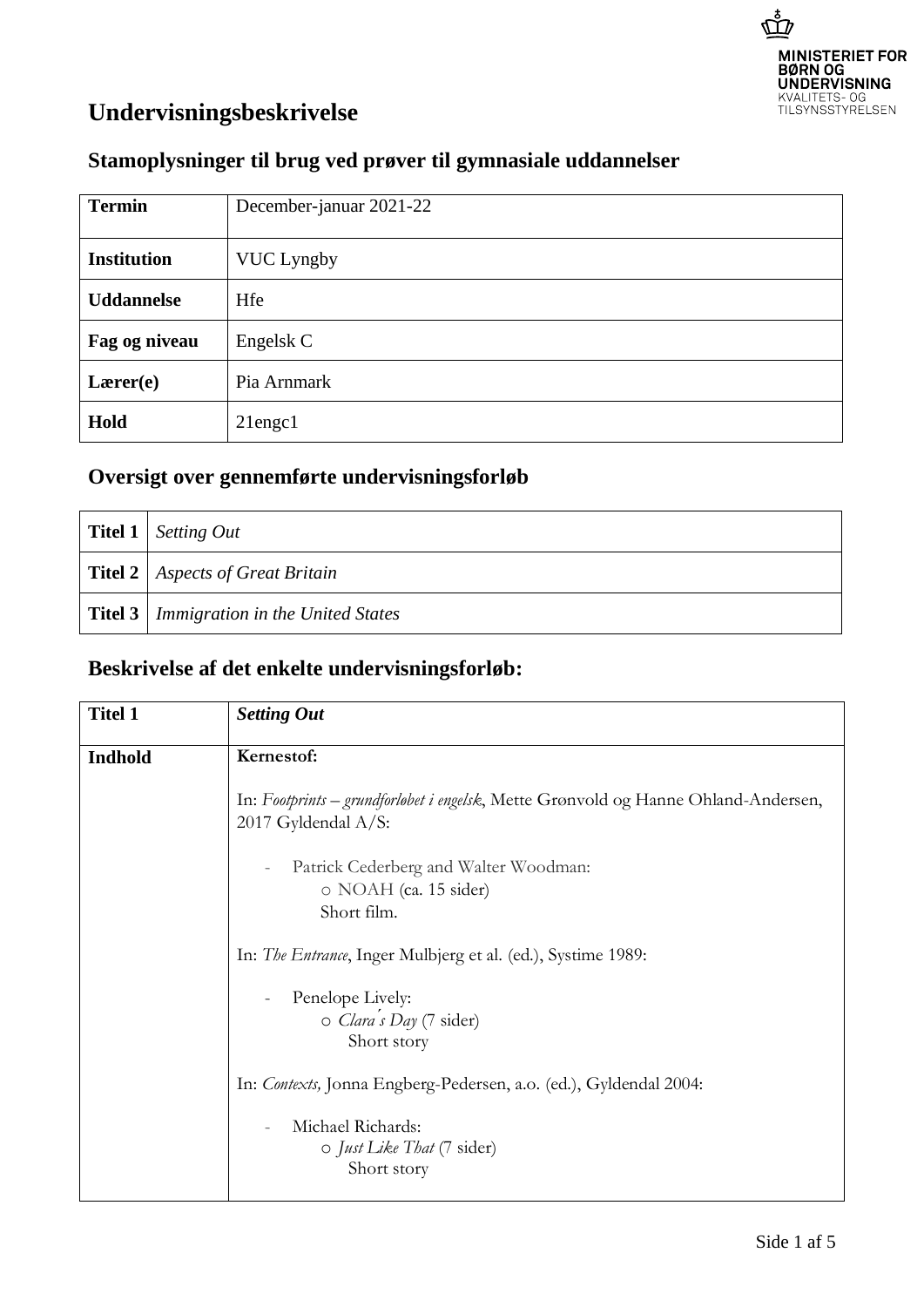

## **Undervisningsbeskrivelse**

## **Stamoplysninger til brug ved prøver til gymnasiale uddannelser**

| <b>Termin</b>      | December-januar 2021-22 |
|--------------------|-------------------------|
| <b>Institution</b> | <b>VUC Lyngby</b>       |
| <b>Uddannelse</b>  | Hfe                     |
| Fag og niveau      | Engelsk C               |
| Lærer(e)           | Pia Arnmark             |
| Hold               | $21$ engc $1$           |

## **Oversigt over gennemførte undervisningsforløb**

| Titel 1   Setting Out                             |
|---------------------------------------------------|
| <b>Titel 2</b>   Aspects of Great Britain         |
| <b>Titel 3</b>   Immigration in the United States |

## **Beskrivelse af det enkelte undervisningsforløb:**

| <b>Titel 1</b> | <b>Setting Out</b>                                                                                        |
|----------------|-----------------------------------------------------------------------------------------------------------|
| <b>Indhold</b> | Kernestof:                                                                                                |
|                | In: Footprints – grundforløbet i engelsk, Mette Grønvold og Hanne Ohland-Andersen,<br>2017 Gyldendal A/S: |
|                | Patrick Cederberg and Walter Woodman:                                                                     |
|                | o NOAH (ca. 15 sider)                                                                                     |
|                | Short film.                                                                                               |
|                | In: <i>The Entrance</i> , Inger Mulbjerg et al. (ed.), Systime 1989:                                      |
|                | Penelope Lively:                                                                                          |
|                | o Clara's Day (7 sider)                                                                                   |
|                | Short story                                                                                               |
|                | In: Contexts, Jonna Engberg-Pedersen, a.o. (ed.), Gyldendal 2004:                                         |
|                | Michael Richards:<br>$\sim$                                                                               |
|                | o Just Like That (7 sider)                                                                                |
|                | Short story                                                                                               |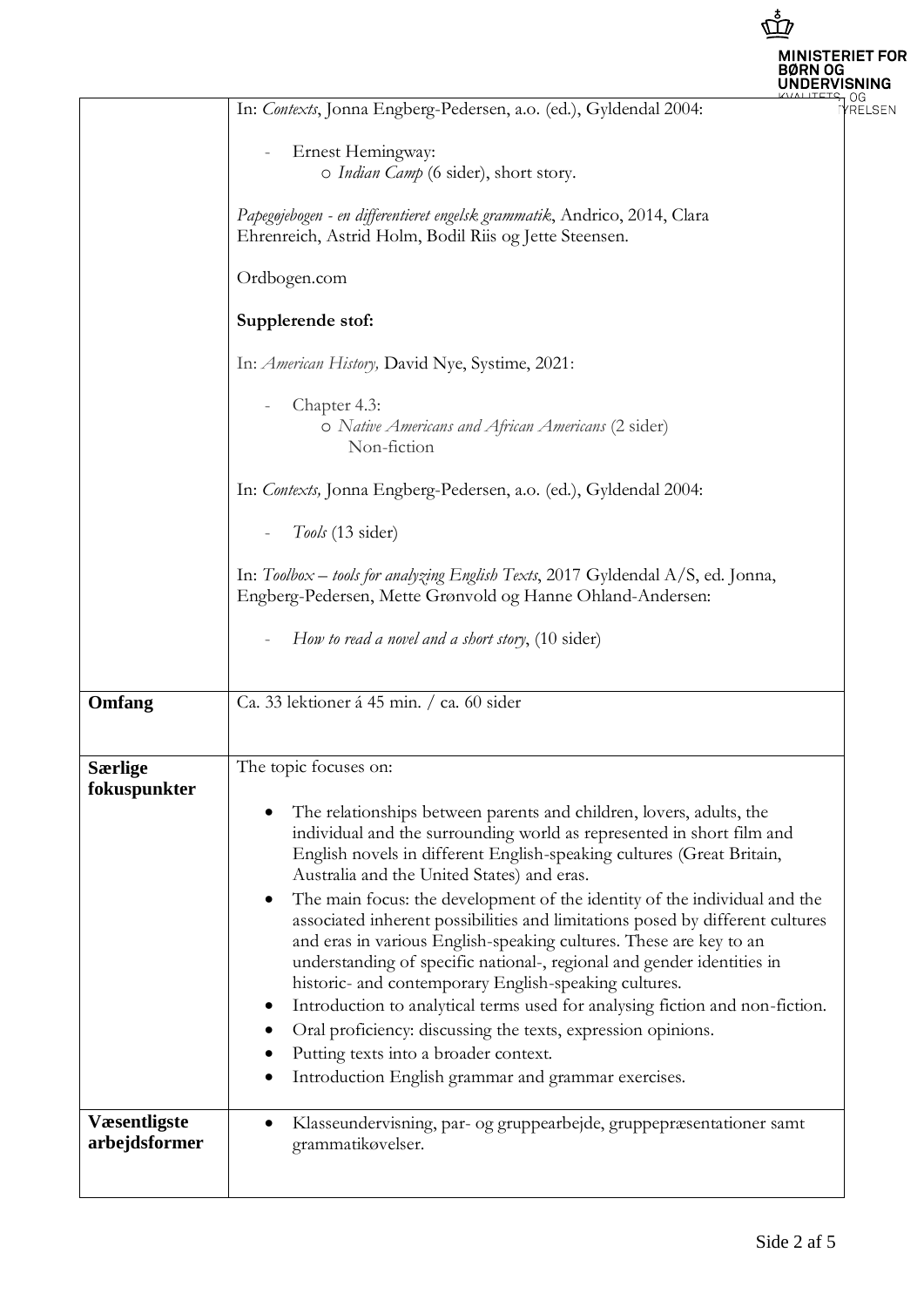|                                      |                                                                                                                                                                                                                                                                                                                                                                                                                                                                                                                                                                                                                                                                                                                                                                                                                                                                                                 | <b>MINISTERIET FOR</b><br>RN OG |
|--------------------------------------|-------------------------------------------------------------------------------------------------------------------------------------------------------------------------------------------------------------------------------------------------------------------------------------------------------------------------------------------------------------------------------------------------------------------------------------------------------------------------------------------------------------------------------------------------------------------------------------------------------------------------------------------------------------------------------------------------------------------------------------------------------------------------------------------------------------------------------------------------------------------------------------------------|---------------------------------|
|                                      | In: Contexts, Jonna Engberg-Pedersen, a.o. (ed.), Gyldendal 2004:                                                                                                                                                                                                                                                                                                                                                                                                                                                                                                                                                                                                                                                                                                                                                                                                                               | OG<br><b>RELSEN</b>             |
|                                      | Ernest Hemingway:<br>o Indian Camp (6 sider), short story.                                                                                                                                                                                                                                                                                                                                                                                                                                                                                                                                                                                                                                                                                                                                                                                                                                      |                                 |
|                                      | Papegøjebogen - en differentieret engelsk grammatik, Andrico, 2014, Clara<br>Ehrenreich, Astrid Holm, Bodil Riis og Jette Steensen.                                                                                                                                                                                                                                                                                                                                                                                                                                                                                                                                                                                                                                                                                                                                                             |                                 |
|                                      | Ordbogen.com                                                                                                                                                                                                                                                                                                                                                                                                                                                                                                                                                                                                                                                                                                                                                                                                                                                                                    |                                 |
|                                      | Supplerende stof:                                                                                                                                                                                                                                                                                                                                                                                                                                                                                                                                                                                                                                                                                                                                                                                                                                                                               |                                 |
|                                      | In: American History, David Nye, Systime, 2021:                                                                                                                                                                                                                                                                                                                                                                                                                                                                                                                                                                                                                                                                                                                                                                                                                                                 |                                 |
|                                      | Chapter 4.3:<br>O Native Americans and African Americans (2 sider)<br>Non-fiction                                                                                                                                                                                                                                                                                                                                                                                                                                                                                                                                                                                                                                                                                                                                                                                                               |                                 |
|                                      | In: Contexts, Jonna Engberg-Pedersen, a.o. (ed.), Gyldendal 2004:                                                                                                                                                                                                                                                                                                                                                                                                                                                                                                                                                                                                                                                                                                                                                                                                                               |                                 |
|                                      | Tools (13 sider)                                                                                                                                                                                                                                                                                                                                                                                                                                                                                                                                                                                                                                                                                                                                                                                                                                                                                |                                 |
|                                      | In: Toolbox - tools for analyzing English Texts, 2017 Gyldendal A/S, ed. Jonna,<br>Engberg-Pedersen, Mette Grønvold og Hanne Ohland-Andersen:                                                                                                                                                                                                                                                                                                                                                                                                                                                                                                                                                                                                                                                                                                                                                   |                                 |
|                                      | How to read a novel and a short story, (10 sider)                                                                                                                                                                                                                                                                                                                                                                                                                                                                                                                                                                                                                                                                                                                                                                                                                                               |                                 |
| Omfang                               | Ca. 33 lektioner á 45 min. / ca. 60 sider                                                                                                                                                                                                                                                                                                                                                                                                                                                                                                                                                                                                                                                                                                                                                                                                                                                       |                                 |
| <b>Særlige</b><br>fokuspunkter       | The topic focuses on:                                                                                                                                                                                                                                                                                                                                                                                                                                                                                                                                                                                                                                                                                                                                                                                                                                                                           |                                 |
|                                      | The relationships between parents and children, lovers, adults, the<br>individual and the surrounding world as represented in short film and<br>English novels in different English-speaking cultures (Great Britain,<br>Australia and the United States) and eras.<br>The main focus: the development of the identity of the individual and the<br>associated inherent possibilities and limitations posed by different cultures<br>and eras in various English-speaking cultures. These are key to an<br>understanding of specific national-, regional and gender identities in<br>historic- and contemporary English-speaking cultures.<br>Introduction to analytical terms used for analysing fiction and non-fiction.<br>Oral proficiency: discussing the texts, expression opinions.<br>Putting texts into a broader context.<br>Introduction English grammar and grammar exercises.<br>٠ |                                 |
| <b>Væsentligste</b><br>arbejdsformer | Klasseundervisning, par- og gruppearbejde, gruppepræsentationer samt<br>٠<br>grammatikøvelser.                                                                                                                                                                                                                                                                                                                                                                                                                                                                                                                                                                                                                                                                                                                                                                                                  |                                 |

 $\vec{\mathbb{P}}$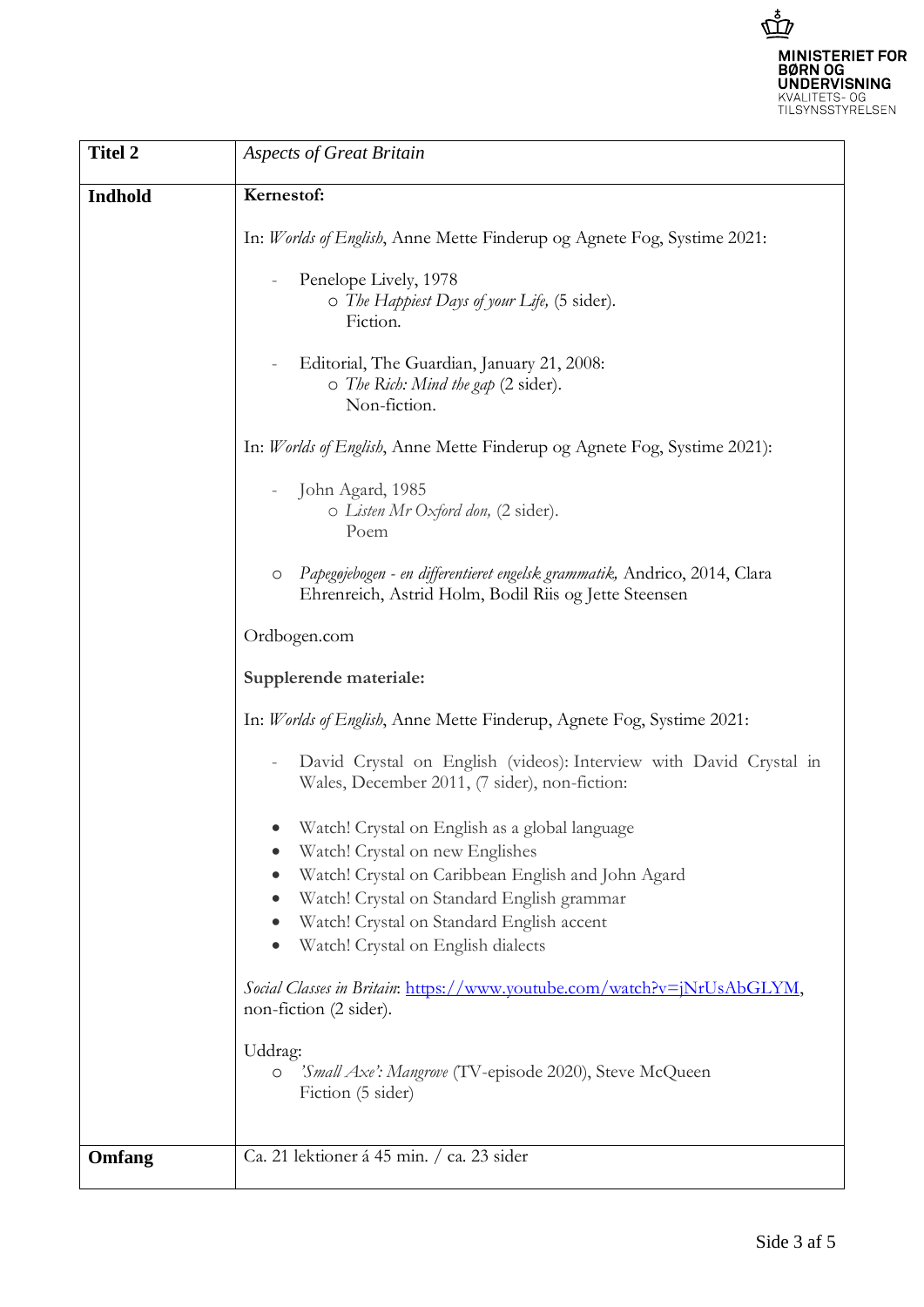

| <b>Titel 2</b> | <b>Aspects of Great Britain</b>                                                                                                         |
|----------------|-----------------------------------------------------------------------------------------------------------------------------------------|
| Indhold        | Kernestof:                                                                                                                              |
|                | In: Worlds of English, Anne Mette Finderup og Agnete Fog, Systime 2021:                                                                 |
|                | Penelope Lively, 1978<br>O The Happiest Days of your Life, (5 sider).<br>Fiction.                                                       |
|                | Editorial, The Guardian, January 21, 2008:<br>O The Rich: Mind the gap (2 sider).<br>Non-fiction.                                       |
|                | In: Worlds of English, Anne Mette Finderup og Agnete Fog, Systime 2021):                                                                |
|                | John Agard, 1985<br>o Listen Mr Oxford don, (2 sider).<br>Poem                                                                          |
|                | Papegojebogen - en differentieret engelsk grammatik, Andrico, 2014, Clara<br>O<br>Ehrenreich, Astrid Holm, Bodil Riis og Jette Steensen |
|                | Ordbogen.com                                                                                                                            |
|                | Supplerende materiale:                                                                                                                  |
|                | In: Worlds of English, Anne Mette Finderup, Agnete Fog, Systime 2021:                                                                   |
|                | David Crystal on English (videos): Interview with David Crystal in<br>Wales, December 2011, (7 sider), non-fiction:                     |
|                | Watch! Crystal on English as a global language<br>Watch! Crystal on new Englishes                                                       |
|                | Watch! Crystal on Caribbean English and John Agard                                                                                      |
|                | Watch! Crystal on Standard English grammar                                                                                              |
|                | Watch! Crystal on Standard English accent                                                                                               |
|                | Watch! Crystal on English dialects                                                                                                      |
|                | Social Classes in Britain: https://www.youtube.com/watch?v=jNrUsAbGLYM,<br>non-fiction (2 sider).                                       |
|                | Uddrag:<br>'Small Axe': Mangrove (TV-episode 2020), Steve McQueen<br>$\circ$<br>Fiction (5 sider)                                       |
| Omfang         | Ca. 21 lektioner á 45 min. / ca. 23 sider                                                                                               |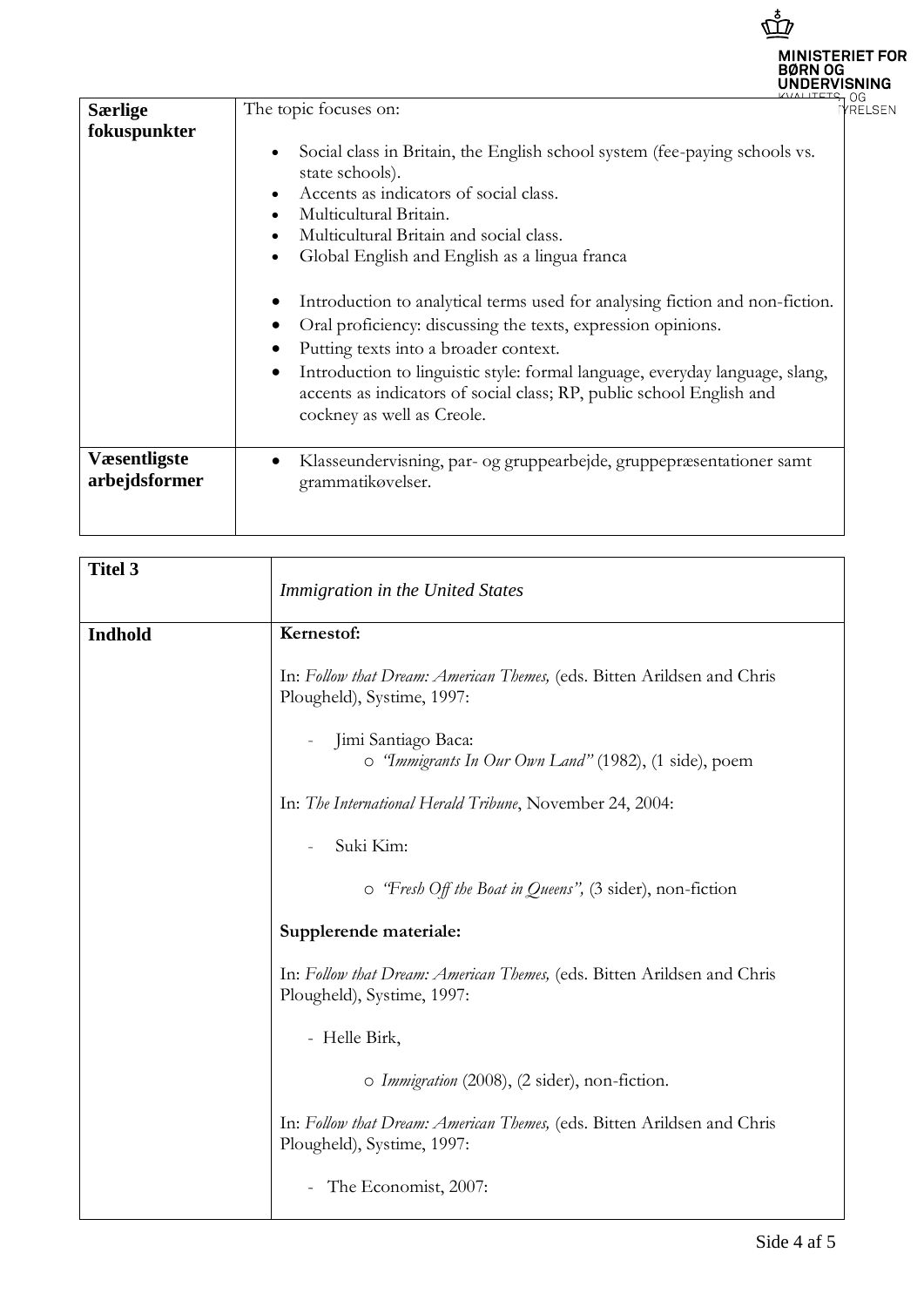|                                       | <b>MINISTERIET FOR</b><br><b>BØRN OG</b><br>UNDERVISNING                                                                                                                                                                                                                                                                                                                                                                                                                                                                                                                                                                                                                                                                                                                 |
|---------------------------------------|--------------------------------------------------------------------------------------------------------------------------------------------------------------------------------------------------------------------------------------------------------------------------------------------------------------------------------------------------------------------------------------------------------------------------------------------------------------------------------------------------------------------------------------------------------------------------------------------------------------------------------------------------------------------------------------------------------------------------------------------------------------------------|
| <b>Særlige</b><br>fokuspunkter        | KYALITETS OG<br>The topic focuses on:<br><b>/RELSEN</b><br>Social class in Britain, the English school system (fee-paying schools vs.<br>$\bullet$<br>state schools).<br>Accents as indicators of social class.<br>$\bullet$<br>Multicultural Britain.<br>$\bullet$<br>Multicultural Britain and social class.<br>Global English and English as a lingua franca<br>$\bullet$<br>Introduction to analytical terms used for analysing fiction and non-fiction.<br>Oral proficiency: discussing the texts, expression opinions.<br>Putting texts into a broader context.<br>Introduction to linguistic style: formal language, everyday language, slang,<br>$\bullet$<br>accents as indicators of social class; RP, public school English and<br>cockney as well as Creole. |
| <b>V</b> æsentligste<br>arbejdsformer | Klasseundervisning, par- og gruppearbejde, gruppepræsentationer samt<br>$\bullet$<br>grammatikøvelser.                                                                                                                                                                                                                                                                                                                                                                                                                                                                                                                                                                                                                                                                   |

| <b>Titel 3</b> | Immigration in the United States                                                                      |
|----------------|-------------------------------------------------------------------------------------------------------|
| Indhold        | Kernestof:                                                                                            |
|                | In: Follow that Dream: American Themes, (eds. Bitten Arildsen and Chris<br>Plougheld), Systime, 1997: |
|                | Jimi Santiago Baca:<br>o "Immigrants In Our Own Land" (1982), (1 side), poem                          |
|                | In: The International Herald Tribune, November 24, 2004:                                              |
|                | Suki Kim:                                                                                             |
|                | o 'Fresh Off the Boat in Queens", (3 sider), non-fiction                                              |
|                | Supplerende materiale:                                                                                |
|                | In: Follow that Dream: American Themes, (eds. Bitten Arildsen and Chris<br>Plougheld), Systime, 1997: |
|                | - Helle Birk,                                                                                         |
|                | o Immigration (2008), (2 sider), non-fiction.                                                         |
|                | In: Follow that Dream: American Themes, (eds. Bitten Arildsen and Chris<br>Plougheld), Systime, 1997: |
|                | The Economist, 2007:                                                                                  |

 $\mathring{\vec{\mathbb{D}}}$